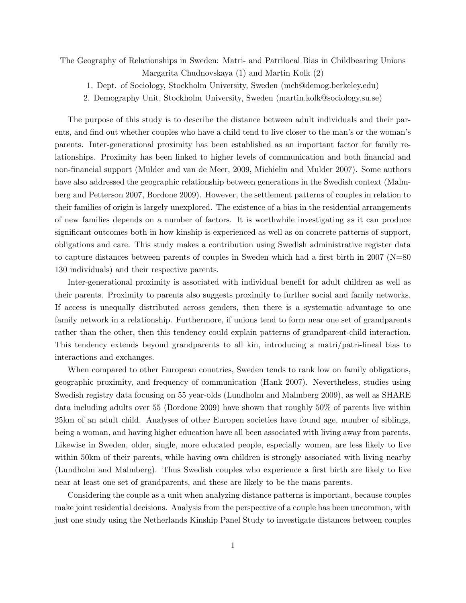The Geography of Relationships in Sweden: Matri- and Patrilocal Bias in Childbearing Unions Margarita Chudnovskaya (1) and Martin Kolk (2)

- 1. Dept. of Sociology, Stockholm University, Sweden (mch@demog.berkeley.edu)
- 2. Demography Unit, Stockholm University, Sweden (martin.kolk@sociology.su.se)

The purpose of this study is to describe the distance between adult individuals and their parents, and find out whether couples who have a child tend to live closer to the man's or the woman's parents. Inter-generational proximity has been established as an important factor for family relationships. Proximity has been linked to higher levels of communication and both financial and non-financial support (Mulder and van de Meer, 2009, Michielin and Mulder 2007). Some authors have also addressed the geographic relationship between generations in the Swedish context (Malmberg and Petterson 2007, Bordone 2009). However, the settlement patterns of couples in relation to their families of origin is largely unexplored. The existence of a bias in the residential arrangements of new families depends on a number of factors. It is worthwhile investigating as it can produce significant outcomes both in how kinship is experienced as well as on concrete patterns of support, obligations and care. This study makes a contribution using Swedish administrative register data to capture distances between parents of couples in Sweden which had a first birth in 2007 (N=80 130 individuals) and their respective parents.

Inter-generational proximity is associated with individual benefit for adult children as well as their parents. Proximity to parents also suggests proximity to further social and family networks. If access is unequally distributed across genders, then there is a systematic advantage to one family network in a relationship. Furthermore, if unions tend to form near one set of grandparents rather than the other, then this tendency could explain patterns of grandparent-child interaction. This tendency extends beyond grandparents to all kin, introducing a matri/patri-lineal bias to interactions and exchanges.

When compared to other European countries, Sweden tends to rank low on family obligations, geographic proximity, and frequency of communication (Hank 2007). Nevertheless, studies using Swedish registry data focusing on 55 year-olds (Lundholm and Malmberg 2009), as well as SHARE data including adults over 55 (Bordone 2009) have shown that roughly 50% of parents live within 25km of an adult child. Analyses of other Europen societies have found age, number of siblings, being a woman, and having higher education have all been associated with living away from parents. Likewise in Sweden, older, single, more educated people, especially women, are less likely to live within 50km of their parents, while having own children is strongly associated with living nearby (Lundholm and Malmberg). Thus Swedish couples who experience a first birth are likely to live near at least one set of grandparents, and these are likely to be the mans parents.

Considering the couple as a unit when analyzing distance patterns is important, because couples make joint residential decisions. Analysis from the perspective of a couple has been uncommon, with just one study using the Netherlands Kinship Panel Study to investigate distances between couples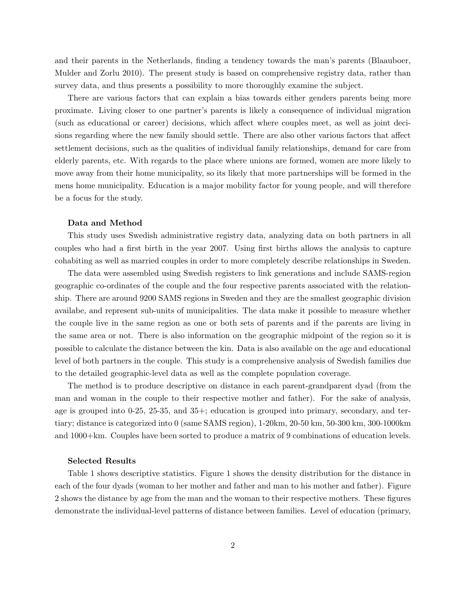and their parents in the Netherlands, finding a tendency towards the man's parents (Blaauboer, Mulder and Zorlu 2010). The present study is based on comprehensive registry data, rather than survey data, and thus presents a possibility to more thoroughly examine the subject.

There are various factors that can explain a bias towards either genders parents being more proximate. Living closer to one partner's parents is likely a consequence of individual migration (such as educational or career) decisions, which affect where couples meet, as well as joint decisions regarding where the new family should settle. There are also other various factors that affect settlement decisions, such as the qualities of individual family relationships, demand for care from elderly parents, etc. With regards to the place where unions are formed, women are more likely to move away from their home municipality, so its likely that more partnerships will be formed in the mens home municipality. Education is a major mobility factor for young people, and will therefore be a focus for the study.

## Data and Method

This study uses Swedish administrative registry data, analyzing data on both partners in all couples who had a first birth in the year 2007. Using first births allows the analysis to capture cohabiting as well as married couples in order to more completely describe relationships in Sweden.

The data were assembled using Swedish registers to link generations and include SAMS-region geographic co-ordinates of the couple and the four respective parents associated with the relationship. There are around 9200 SAMS regions in Sweden and they are the smallest geographic division availabe, and represent sub-units of municipalities. The data make it possible to measure whether the couple live in the same region as one or both sets of parents and if the parents are living in the same area or not. There is also information on the geographic midpoint of the region so it is possible to calculate the distance between the kin. Data is also available on the age and educational level of both partners in the couple. This study is a comprehensive analysis of Swedish families due to the detailed geographic-level data as well as the complete population coverage.

The method is to produce descriptive on distance in each parent-grandparent dyad (from the man and woman in the couple to their respective mother and father). For the sake of analysis, age is grouped into 0-25, 25-35, and 35+; education is grouped into primary, secondary, and tertiary; distance is categorized into 0 (same SAMS region), 1-20km, 20-50 km, 50-300 km, 300-1000km and 1000+km. Couples have been sorted to produce a matrix of 9 combinations of education levels.

## Selected Results

Table 1 shows descriptive statistics. Figure 1 shows the density distribution for the distance in each of the four dyads (woman to her mother and father and man to his mother and father). Figure 2 shows the distance by age from the man and the woman to their respective mothers. These figures demonstrate the individual-level patterns of distance between families. Level of education (primary,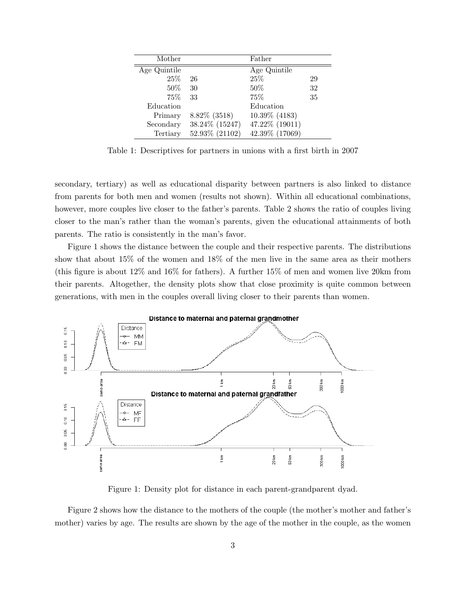| Mother       |                | Father         |    |
|--------------|----------------|----------------|----|
| Age Quintile |                | Age Quintile   |    |
| 25\%         | 26             | 25\%           | 29 |
| 50%          | 30             | $50\%$         | 32 |
| 75%          | 33             | 75%            | 35 |
| Education    |                | Education      |    |
| Primary      | 8.82% (3518)   | 10.39% (4183)  |    |
| Secondary    | 38.24% (15247) | 47.22% (19011) |    |
| Tertiary     | 52.93% (21102) | 42.39% (17069) |    |

Table 1: Descriptives for partners in unions with a first birth in 2007

secondary, tertiary) as well as educational disparity between partners is also linked to distance from parents for both men and women (results not shown). Within all educational combinations, however, more couples live closer to the father's parents. Table 2 shows the ratio of couples living closer to the man's rather than the woman's parents, given the educational attainments of both parents. The ratio is consistently in the man's favor.

Figure 1 shows the distance between the couple and their respective parents. The distributions show that about 15% of the women and 18% of the men live in the same area as their mothers (this figure is about 12% and 16% for fathers). A further 15% of men and women live 20km from their parents. Altogether, the density plots show that close proximity is quite common between generations, with men in the couples overall living closer to their parents than women.



Figure 1: Density plot for distance in each parent-grandparent dyad.

Figure 2 shows how the distance to the mothers of the couple (the mother's mother and father's mother) varies by age. The results are shown by the age of the mother in the couple, as the women